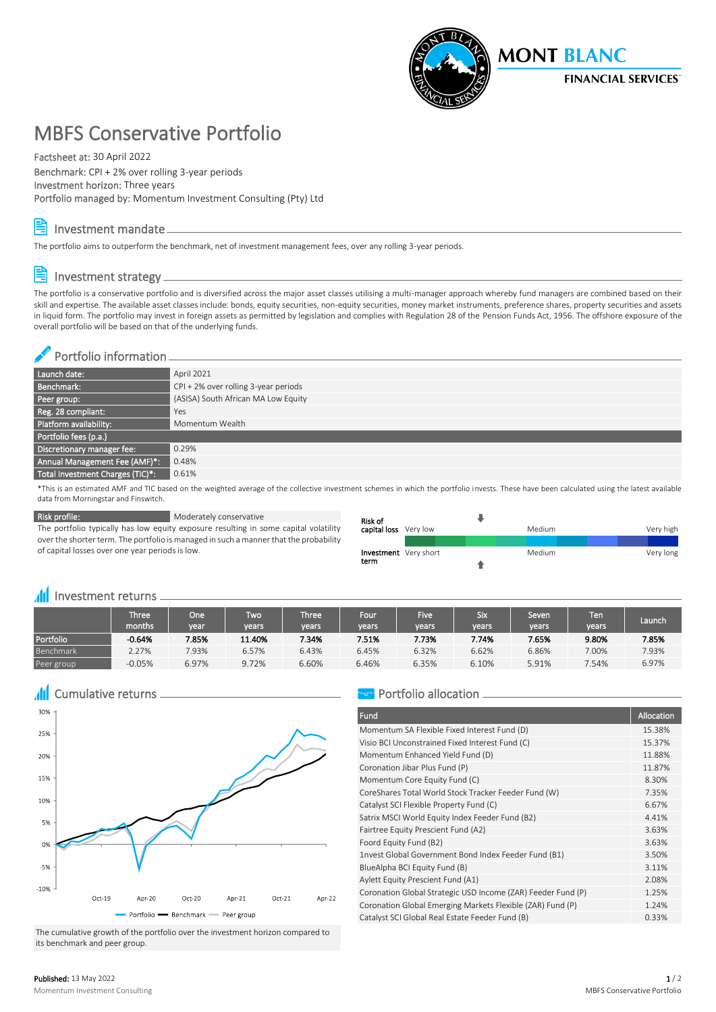

# MBFS Conservative Portfolio

Factsheet at: 30 April 2022

Benchmark: CPI + 2% over rolling 3-year periods Investment horizon: Three years Portfolio managed by: Momentum Investment Consulting (Pty) Ltd

#### Investment mandate

The portfolio aims to outperform the benchmark, net of investment management fees, over any rolling 3-year periods.

## Investment strategy

The portfolio is a conservative portfolio and is diversified across the major asset classes utilising a multi-manager approach whereby fund managers are combined based on their skill and expertise. The available asset classes include: bonds, equity securities, non-equity securities, money market instruments, preference shares, property securities and assets in liquid form. The portfolio may invest in foreign assets as permitted by legislation and complies with Regulation 28 of the Pension Funds Act, 1956. The offshore exposure of the overall portfolio will be based on that of the underlying funds.

#### Portfolio information

| Launch date:                     | April 2021                             |
|----------------------------------|----------------------------------------|
| Benchmark:                       | $CPI + 2%$ over rolling 3-year periods |
| Peer group:                      | (ASISA) South African MA Low Equity    |
| Reg. 28 compliant:               | Yes                                    |
| Platform availability:           | Momentum Wealth                        |
| Portfolio fees (p.a.)            |                                        |
| Discretionary manager fee:       | 0.29%                                  |
| Annual Management Fee (AMF)*:    | 0.48%                                  |
| Total Investment Charges (TIC)*: | 0.61%                                  |

\*This is an estimated AMF and TIC based on the weighted average of the collective investment schemes in which the portfolio invests. These have been calculated using the latest available data from Morningstar and Finswitch.

Risk profile: Moderately conservative The portfolio typically has low equity exposure resulting in some capital volatility over the shorter term. The portfolio is managed in such a manner that the probability of capital losses over one year periods is low.

| Risk of                      |  |        |  |           |
|------------------------------|--|--------|--|-----------|
| capital loss Very low        |  | Medium |  | Very high |
|                              |  |        |  |           |
| <b>Investment</b> Very short |  | Medium |  | Very long |
| term                         |  |        |  |           |

#### **III** Investment returns <sub>-</sub>

|            | Three'<br>months. | One \<br>vear | Two'<br>vears | <b>Three</b><br>vears | Four<br>years | Five <sup>1</sup><br>vears | Six<br>vears | Seven<br>vears | Ten<br>vears | Launch |
|------------|-------------------|---------------|---------------|-----------------------|---------------|----------------------------|--------------|----------------|--------------|--------|
| Portfolio  | $-0.64%$          | 7.85%         | 11.40%        | 7.34%                 | 7.51%         | 7.73%                      | 7.74%        | 7.65%          | 9.80%        | 7.85%  |
| Benchmark  | 2.27%             | 7.93%         | 6.57%         | 6.43%                 | 6.45%         | 6.32%                      | 6.62%        | 6.86%          | 7.00%        | 7.93%  |
| Peer group | $-0.05%$          | 6.97%         | 9.72%         | 6.60%                 | 6.46%         | 6.35%                      | 6.10%        | 5.91%          | 7.54%        | 6.97%  |

Cumulative returns Æ



The cumulative growth of the portfolio over the investment horizon compared to its benchmark and peer group.

#### Portfolio allocation -

| Fund                                                         | Allocation |
|--------------------------------------------------------------|------------|
| Momentum SA Flexible Fixed Interest Fund (D)                 | 15.38%     |
| Visio BCI Unconstrained Fixed Interest Fund (C)              | 15.37%     |
| Momentum Enhanced Yield Fund (D)                             | 11.88%     |
| Coronation Jibar Plus Fund (P)                               | 11.87%     |
| Momentum Core Equity Fund (C)                                | 8.30%      |
| CoreShares Total World Stock Tracker Feeder Fund (W)         | 7.35%      |
| Catalyst SCI Flexible Property Fund (C)                      | 6.67%      |
| Satrix MSCI World Equity Index Feeder Fund (B2)              | 4.41%      |
| Fairtree Equity Prescient Fund (A2)                          | 3.63%      |
| Foord Equity Fund (B2)                                       | 3.63%      |
| 1nvest Global Government Bond Index Feeder Fund (B1)         | 3.50%      |
| BlueAlpha BCI Equity Fund (B)                                | 3.11%      |
| Aylett Equity Prescient Fund (A1)                            | 2.08%      |
| Coronation Global Strategic USD Income (ZAR) Feeder Fund (P) | 1.25%      |
| Coronation Global Emerging Markets Flexible (ZAR) Fund (P)   | 1.24%      |
| Catalyst SCI Global Real Estate Feeder Fund (B)              | 0.33%      |